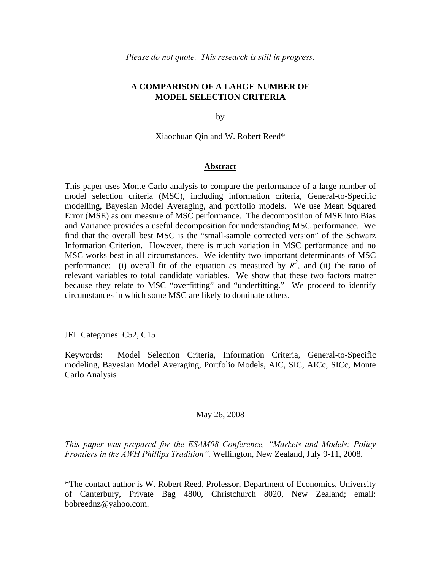## **A COMPARISON OF A LARGE NUMBER OF MODEL SELECTION CRITERIA**

by

Xiaochuan Qin and W. Robert Reed\*

## **Abstract**

This paper uses Monte Carlo analysis to compare the performance of a large number of model selection criteria (MSC), including information criteria, General-to-Specific modelling, Bayesian Model Averaging, and portfolio models. We use Mean Squared Error (MSE) as our measure of MSC performance. The decomposition of MSE into Bias and Variance provides a useful decomposition for understanding MSC performance. We find that the overall best MSC is the "small-sample corrected version" of the Schwarz Information Criterion. However, there is much variation in MSC performance and no MSC works best in all circumstances. We identify two important determinants of MSC performance: (i) overall fit of the equation as measured by  $R^2$ , and (ii) the ratio of relevant variables to total candidate variables. We show that these two factors matter because they relate to MSC "overfitting" and "underfitting." We proceed to identify circumstances in which some MSC are likely to dominate others.

## JEL Categories: C52, C15

Keywords: Model Selection Criteria, Information Criteria, General-to-Specific modeling, Bayesian Model Averaging, Portfolio Models, AIC, SIC, AICc, SICc, Monte Carlo Analysis

#### May 26, 2008

*This paper was prepared for the ESAM08 Conference, "Markets and Models: Policy Frontiers in the AWH Phillips Tradition",* Wellington, New Zealand, July 9-11, 2008.

\*The contact author is W. Robert Reed, Professor, Department of Economics, University of Canterbury, Private Bag 4800, Christchurch 8020, New Zealand; email: bobreednz@yahoo.com.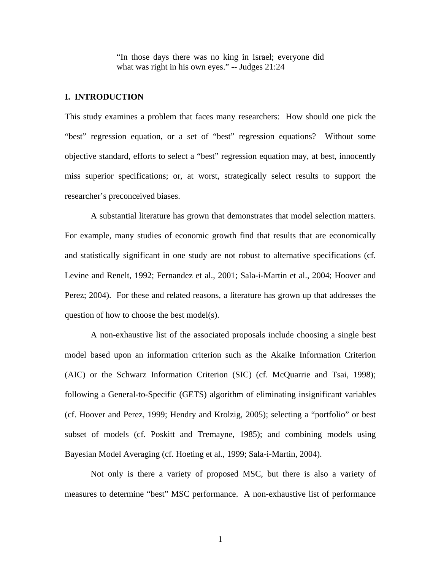"In those days there was no king in Israel; everyone did what was right in his own eyes." -- Judges 21:24

## **I. INTRODUCTION**

This study examines a problem that faces many researchers: How should one pick the "best" regression equation, or a set of "best" regression equations? Without some objective standard, efforts to select a "best" regression equation may, at best, innocently miss superior specifications; or, at worst, strategically select results to support the researcher's preconceived biases.

A substantial literature has grown that demonstrates that model selection matters. For example, many studies of economic growth find that results that are economically and statistically significant in one study are not robust to alternative specifications (cf. Levine and Renelt, 1992; Fernandez et al., 2001; Sala-i-Martin et al., 2004; Hoover and Perez; 2004). For these and related reasons, a literature has grown up that addresses the question of how to choose the best model(s).

A non-exhaustive list of the associated proposals include choosing a single best model based upon an information criterion such as the Akaike Information Criterion (AIC) or the Schwarz Information Criterion (SIC) (cf. McQuarrie and Tsai, 1998); following a General-to-Specific (GETS) algorithm of eliminating insignificant variables (cf. Hoover and Perez, 1999; Hendry and Krolzig, 2005); selecting a "portfolio" or best subset of models (cf. Poskitt and Tremayne, 1985); and combining models using Bayesian Model Averaging (cf. Hoeting et al., 1999; Sala-i-Martin, 2004).

Not only is there a variety of proposed MSC, but there is also a variety of measures to determine "best" MSC performance. A non-exhaustive list of performance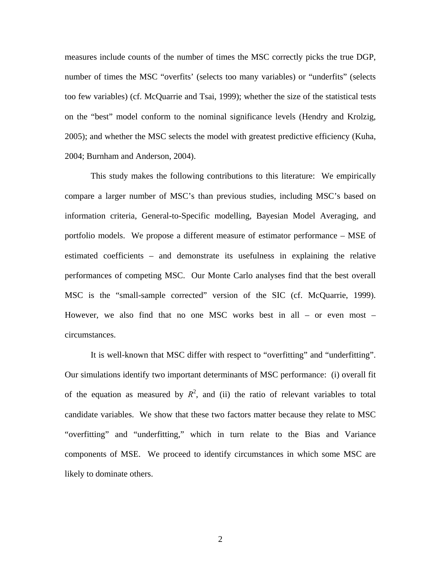measures include counts of the number of times the MSC correctly picks the true DGP, number of times the MSC "overfits' (selects too many variables) or "underfits" (selects too few variables) (cf. McQuarrie and Tsai, 1999); whether the size of the statistical tests on the "best" model conform to the nominal significance levels (Hendry and Krolzig, 2005); and whether the MSC selects the model with greatest predictive efficiency (Kuha, 2004; Burnham and Anderson, 2004).

This study makes the following contributions to this literature: We empirically compare a larger number of MSC's than previous studies, including MSC's based on information criteria, General-to-Specific modelling, Bayesian Model Averaging, and portfolio models. We propose a different measure of estimator performance – MSE of estimated coefficients – and demonstrate its usefulness in explaining the relative performances of competing MSC. Our Monte Carlo analyses find that the best overall MSC is the "small-sample corrected" version of the SIC (cf. McQuarrie, 1999). However, we also find that no one MSC works best in all – or even most – circumstances.

It is well-known that MSC differ with respect to "overfitting" and "underfitting". Our simulations identify two important determinants of MSC performance: (i) overall fit of the equation as measured by  $R^2$ , and (ii) the ratio of relevant variables to total candidate variables. We show that these two factors matter because they relate to MSC "overfitting" and "underfitting," which in turn relate to the Bias and Variance components of MSE. We proceed to identify circumstances in which some MSC are likely to dominate others.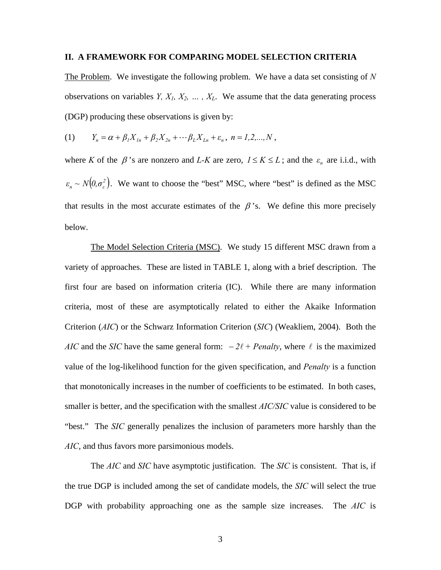#### **II. A FRAMEWORK FOR COMPARING MODEL SELECTION CRITERIA**

The Problem. We investigate the following problem. We have a data set consisting of *N* observations on variables  $Y, X_1, X_2, \ldots, X_L$ . We assume that the data generating process (DGP) producing these observations is given by:

(1) 
$$
Y_n = \alpha + \beta_1 X_{1n} + \beta_2 X_{2n} + \cdots + \beta_L X_{Ln} + \varepsilon_n, \quad n = 1, 2, ..., N,
$$

where *K* of the  $\beta$ 's are nonzero and *L-K* are zero,  $1 \le K \le L$ ; and the  $\varepsilon_n$  are i.i.d., with  $\varepsilon_n \sim N(0, \sigma_\varepsilon^2)$ . We want to choose the "best" MSC, where "best" is defined as the MSC that results in the most accurate estimates of the  $\beta$ 's. We define this more precisely below.

The Model Selection Criteria (MSC). We study 15 different MSC drawn from a variety of approaches. These are listed in TABLE 1, along with a brief description. The first four are based on information criteria (IC). While there are many information criteria, most of these are asymptotically related to either the Akaike Information Criterion (*AIC*) or the Schwarz Information Criterion (*SIC*) (Weakliem, 2004). Both the *AIC* and the *SIC* have the same general form:  $-2\ell$  + *Penalty*, where  $\ell$  is the maximized value of the log-likelihood function for the given specification, and *Penalty* is a function that monotonically increases in the number of coefficients to be estimated. In both cases, smaller is better, and the specification with the smallest *AIC/SIC* value is considered to be "best." The *SIC* generally penalizes the inclusion of parameters more harshly than the *AIC*, and thus favors more parsimonious models.

 The *AIC* and *SIC* have asymptotic justification. The *SIC* is consistent. That is, if the true DGP is included among the set of candidate models, the *SIC* will select the true DGP with probability approaching one as the sample size increases. The *AIC* is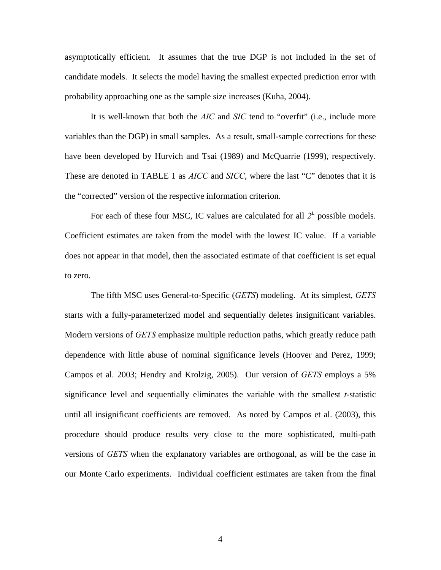asymptotically efficient. It assumes that the true DGP is not included in the set of candidate models. It selects the model having the smallest expected prediction error with probability approaching one as the sample size increases (Kuha, 2004).

It is well-known that both the *AIC* and *SIC* tend to "overfit" (i.e., include more variables than the DGP) in small samples. As a result, small-sample corrections for these have been developed by Hurvich and Tsai (1989) and McQuarrie (1999), respectively. These are denoted in TABLE 1 as *AICC* and *SICC*, where the last "C" denotes that it is the "corrected" version of the respective information criterion.

For each of these four MSC, IC values are calculated for all  $2^L$  possible models. Coefficient estimates are taken from the model with the lowest IC value. If a variable does not appear in that model, then the associated estimate of that coefficient is set equal to zero.

The fifth MSC uses General-to-Specific (*GETS*) modeling. At its simplest, *GETS* starts with a fully-parameterized model and sequentially deletes insignificant variables. Modern versions of *GETS* emphasize multiple reduction paths, which greatly reduce path dependence with little abuse of nominal significance levels (Hoover and Perez, 1999; Campos et al. 2003; Hendry and Krolzig, 2005). Our version of *GETS* employs a 5% significance level and sequentially eliminates the variable with the smallest *t*-statistic until all insignificant coefficients are removed. As noted by Campos et al. (2003), this procedure should produce results very close to the more sophisticated, multi-path versions of *GETS* when the explanatory variables are orthogonal, as will be the case in our Monte Carlo experiments. Individual coefficient estimates are taken from the final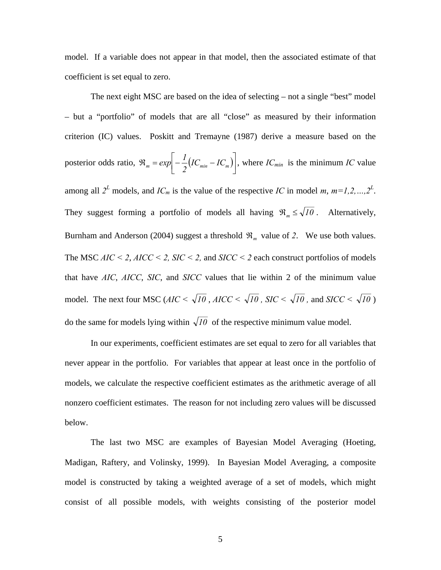model. If a variable does not appear in that model, then the associated estimate of that coefficient is set equal to zero.

The next eight MSC are based on the idea of selecting – not a single "best" model – but a "portfolio" of models that are all "close" as measured by their information criterion (IC) values. Poskitt and Tremayne (1987) derive a measure based on the posterior odds ratio,  $\Re_m = exp \left[ -\frac{1}{2} (IC_{min} - IC_m) \right]$  $\mathfrak{R}_m = exp \left[ -\frac{I}{2} \left( IC_{min} - IC_{m} \right) \right]$  $\exp\left[-\frac{1}{2}(IC_{min} - IC_{m})\right]$ , where  $IC_{min}$  is the minimum *IC* value among all  $2^L$  models, and  $IC_m$  is the value of the respective *IC* in model *m*,  $m=1,2,...,2^L$ . They suggest forming a portfolio of models all having  $\Re_m \leq \sqrt{10}$ . Alternatively, Burnham and Anderson (2004) suggest a threshold  $\mathfrak{R}_m$  value of 2. We use both values. The MSC  $AIC < 2$ ,  $AICC < 2$ ,  $SIC < 2$ , and  $SICC < 2$  each construct portfolios of models that have *AIC*, *AICC*, *SIC*, and *SICC* values that lie within 2 of the minimum value model. The next four MSC ( $AIC < \sqrt{10}$ ,  $AICC < \sqrt{10}$ ,  $SIC < \sqrt{10}$ , and  $SICC < \sqrt{10}$ ) do the same for models lying within  $\sqrt{10}$  of the respective minimum value model.

In our experiments, coefficient estimates are set equal to zero for all variables that never appear in the portfolio. For variables that appear at least once in the portfolio of models, we calculate the respective coefficient estimates as the arithmetic average of all nonzero coefficient estimates. The reason for not including zero values will be discussed below.

The last two MSC are examples of Bayesian Model Averaging (Hoeting, Madigan, Raftery, and Volinsky, 1999). In Bayesian Model Averaging, a composite model is constructed by taking a weighted average of a set of models, which might consist of all possible models, with weights consisting of the posterior model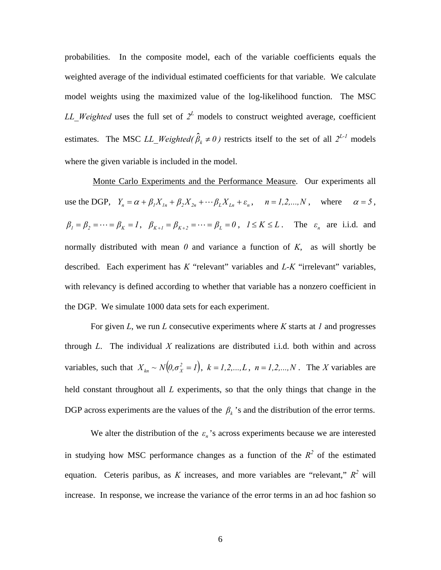probabilities. In the composite model, each of the variable coefficients equals the weighted average of the individual estimated coefficients for that variable. We calculate model weights using the maximized value of the log-likelihood function. The MSC *LL* Weighted uses the full set of  $2^L$  models to construct weighted average, coefficient estimates. The MSC *LL\_Weighted(* $\hat{\beta}_k \neq 0$ ) restricts itself to the set of all  $2^{L-1}$  models where the given variable is included in the model.

 Monte Carlo Experiments and the Performance Measure. Our experiments all use the DGP,  $Y_n = \alpha + \beta_1 X_{1n} + \beta_2 X_{2n} + \cdots + \beta_L X_{Ln} + \varepsilon_n$ ,  $n = 1, 2, \ldots, N$ , where  $\alpha = 5$ ,  $\beta_1 = \beta_2 = \cdots = \beta_K = 1$ ,  $\beta_{K+1} = \beta_{K+2} = \cdots = \beta_L = 0$ ,  $1 \le K \le L$ . The  $\varepsilon_n$  are i.i.d. and normally distributed with mean  $\theta$  and variance a function of  $K$ , as will shortly be described. Each experiment has *K* "relevant" variables and *L-K* "irrelevant" variables, with relevancy is defined according to whether that variable has a nonzero coefficient in the DGP. We simulate 1000 data sets for each experiment.

 For given *L*, we run *L* consecutive experiments where *K* starts at *1* and progresses through *L*. The individual *X* realizations are distributed i.i.d. both within and across variables, such that  $X_{kn} \sim N(0, \sigma_X^2 = I)$ ,  $k = I, 2, ..., L$ ,  $n = I, 2, ..., N$ . The *X* variables are held constant throughout all *L* experiments, so that the only things that change in the DGP across experiments are the values of the  $\beta_k$  's and the distribution of the error terms.

We alter the distribution of the  $\varepsilon_n$ 's across experiments because we are interested in studying how MSC performance changes as a function of the  $R^2$  of the estimated equation. Ceteris paribus, as *K* increases, and more variables are "relevant,"  $R^2$  will increase. In response, we increase the variance of the error terms in an ad hoc fashion so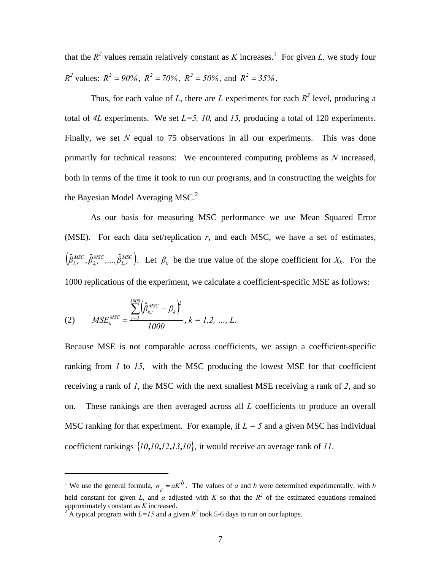that the  $R^2$  values remain relatively constant as K increases.<sup>1</sup> For given L, we study four *R*<sup>2</sup> values:  $R^2 = 90\%$ ,  $R^2 = 70\%$ ,  $R^2 = 50\%$ , and  $R^2 = 35\%$ .

Thus, for each value of *L*, there are *L* experiments for each  $R^2$  level, producing a total of 4L experiments. We set  $L=5$ , 10, and 15, producing a total of 120 experiments. Finally, we set *N* equal to 75 observations in all our experiments. This was done primarily for technical reasons: We encountered computing problems as *N* increased, both in terms of the time it took to run our programs, and in constructing the weights for the Bayesian Model Averaging MSC.<sup>2</sup>

As our basis for measuring MSC performance we use Mean Squared Error (MSE). For each data set/replication  $r$ , and each MSC, we have a set of estimates,  $\left(\!\hat{\beta}^{MSC}_{1,r},\hat{\beta}^{MSC}_{2,r},\!...,\hat{\beta}^{MSC}_{L,r}\right)$ *MSC 2,r*  $\hat{\beta}_{l,r}^{MSC}$ , $\hat{\beta}_{2,r}^{MSC}$ ,..., $\hat{\beta}_{L,r}^{MSC}$ ). Let  $\beta_k$  be the true value of the slope coefficient for  $X_k$ . For the 1000 replications of the experiment, we calculate a coefficient-specific MSE as follows:

(2) 
$$
MSE_k^{MSC} = \frac{\sum_{r=1}^{1000} (\hat{\beta}_{kr}^{MSC} - \beta_k)^2}{1000}, k = 1, 2, ..., L.
$$

 $\overline{a}$ 

Because MSE is not comparable across coefficients, we assign a coefficient-specific ranking from *1* to *15*, with the MSC producing the lowest MSE for that coefficient receiving a rank of *1*, the MSC with the next smallest MSE receiving a rank of *2*, and so on. These rankings are then averaged across all *L* coefficients to produce an overall MSC ranking for that experiment. For example, if  $L = 5$  and a given MSC has individual coefficient rankings  $\{10, 10, 12, 13, 10\}$ , it would receive an average rank of 11.

<sup>&</sup>lt;sup>1</sup> We use the general formula,  $\sigma_{\varepsilon} = aK^b$ . The values of *a* and *b* were determined experimentally, with *b* held constant for given *L*, and *a* adjusted with *K* so that the  $R^2$  of the estimated equations remained approximately constant as *K* increased. 2

<sup>&</sup>lt;sup>2</sup> A typical program with  $L=15$  and a given  $R^2$  took 5-6 days to run on our laptops.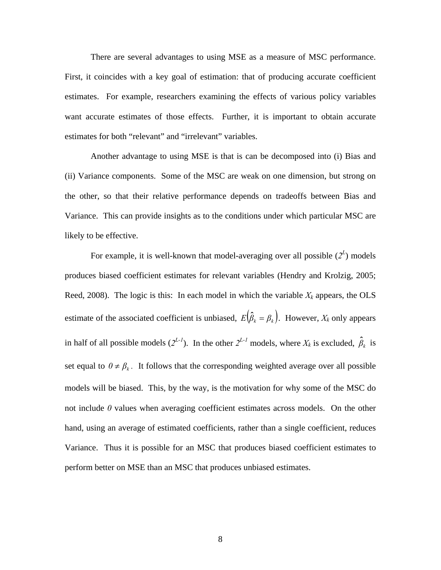There are several advantages to using MSE as a measure of MSC performance. First, it coincides with a key goal of estimation: that of producing accurate coefficient estimates. For example, researchers examining the effects of various policy variables want accurate estimates of those effects. Further, it is important to obtain accurate estimates for both "relevant" and "irrelevant" variables.

Another advantage to using MSE is that is can be decomposed into (i) Bias and (ii) Variance components. Some of the MSC are weak on one dimension, but strong on the other, so that their relative performance depends on tradeoffs between Bias and Variance. This can provide insights as to the conditions under which particular MSC are likely to be effective.

For example, it is well-known that model-averaging over all possible  $(2^L)$  models produces biased coefficient estimates for relevant variables (Hendry and Krolzig, 2005; Reed, 2008). The logic is this: In each model in which the variable  $X_k$  appears, the OLS estimate of the associated coefficient is unbiased,  $E(\hat{\beta}_k = \beta_k)$ . However,  $X_k$  only appears in half of all possible models  $(2^{L-1})$ . In the other  $2^{L-1}$  models, where  $X_k$  is excluded,  $\hat{\beta}_k$  is set equal to  $0 \neq \beta_k$ . It follows that the corresponding weighted average over all possible models will be biased. This, by the way, is the motivation for why some of the MSC do not include *0* values when averaging coefficient estimates across models. On the other hand, using an average of estimated coefficients, rather than a single coefficient, reduces Variance. Thus it is possible for an MSC that produces biased coefficient estimates to perform better on MSE than an MSC that produces unbiased estimates.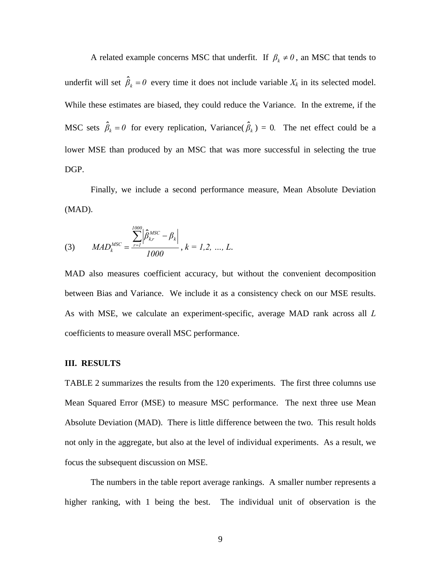A related example concerns MSC that underfit. If  $\beta_k \neq 0$ , an MSC that tends to underfit will set  $\hat{\beta}_k = 0$  every time it does not include variable  $X_k$  in its selected model. While these estimates are biased, they could reduce the Variance. In the extreme, if the MSC sets  $\hat{\beta}_k = 0$  for every replication, Variance( $\hat{\beta}_k$ ) = 0. The net effect could be a lower MSE than produced by an MSC that was more successful in selecting the true DGP.

Finally, we include a second performance measure, Mean Absolute Deviation (MAD).

(3) 
$$
MAD_k^{MSC} = \frac{\sum_{r=1}^{1000} |\hat{\beta}_{kr}^{MSC} - \beta_k|}{1000}, k = 1, 2, ..., L.
$$

MAD also measures coefficient accuracy, but without the convenient decomposition between Bias and Variance. We include it as a consistency check on our MSE results. As with MSE, we calculate an experiment-specific, average MAD rank across all *L* coefficients to measure overall MSC performance.

#### **III. RESULTS**

TABLE 2 summarizes the results from the 120 experiments. The first three columns use Mean Squared Error (MSE) to measure MSC performance. The next three use Mean Absolute Deviation (MAD). There is little difference between the two. This result holds not only in the aggregate, but also at the level of individual experiments. As a result, we focus the subsequent discussion on MSE.

The numbers in the table report average rankings. A smaller number represents a higher ranking, with 1 being the best. The individual unit of observation is the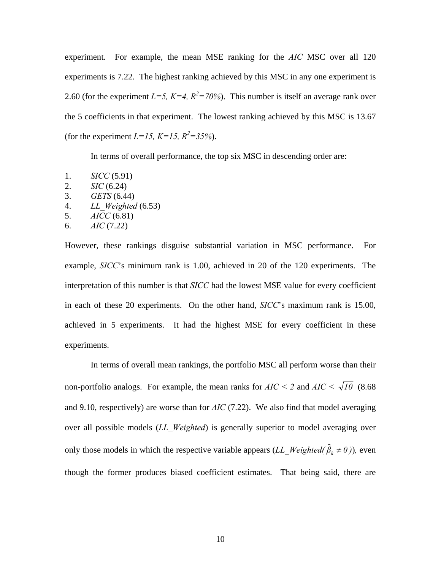experiment. For example, the mean MSE ranking for the *AIC* MSC over all 120 experiments is 7.22. The highest ranking achieved by this MSC in any one experiment is 2.60 (for the experiment  $L=5$ ,  $K=4$ ,  $R^2=70\%$ ). This number is itself an average rank over the 5 coefficients in that experiment. The lowest ranking achieved by this MSC is 13.67 (for the experiment  $L=15$ ,  $K=15$ ,  $R^2=35%$ ).

In terms of overall performance, the top six MSC in descending order are:

- 1. *SICC* (5.91)
- 2. *SIC* (6.24)
- 3. *GETS* (6.44)
- 4. *LL\_Weighted* (6.53)
- 5. *AICC* (6.81)
- 6. *AIC* (7.22)

However, these rankings disguise substantial variation in MSC performance. For example, *SICC*'s minimum rank is 1.00, achieved in 20 of the 120 experiments. The interpretation of this number is that *SICC* had the lowest MSE value for every coefficient in each of these 20 experiments. On the other hand, *SICC*'s maximum rank is 15.00, achieved in 5 experiments. It had the highest MSE for every coefficient in these experiments.

In terms of overall mean rankings, the portfolio MSC all perform worse than their non-portfolio analogs. For example, the mean ranks for  $AIC \le 2$  and  $AIC \le \sqrt{10}$  (8.68) and 9.10, respectively) are worse than for *AIC* (7.22). We also find that model averaging over all possible models (*LL\_Weighted*) is generally superior to model averaging over only those models in which the respective variable appears  $(LL_W\text{eigen}(\hat{\beta}_k \neq 0))$ , even though the former produces biased coefficient estimates. That being said, there are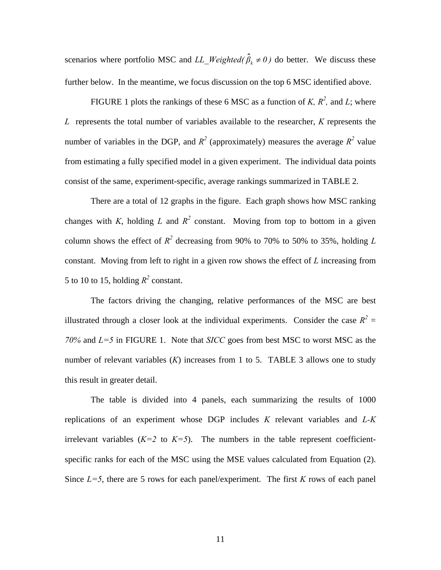scenarios where portfolio MSC and  $LL\_Weighted(\hat{\beta}_k \neq 0)$  do better. We discuss these further below. In the meantime, we focus discussion on the top 6 MSC identified above.

FIGURE 1 plots the rankings of these 6 MSC as a function of *K*,  $R^2$ , and *L*; where *L* represents the total number of variables available to the researcher, *K* represents the number of variables in the DGP, and  $R^2$  (approximately) measures the average  $R^2$  value from estimating a fully specified model in a given experiment. The individual data points consist of the same, experiment-specific, average rankings summarized in TABLE 2.

There are a total of 12 graphs in the figure. Each graph shows how MSC ranking changes with *K*, holding *L* and  $R^2$  constant. Moving from top to bottom in a given column shows the effect of  $R^2$  decreasing from 90% to 70% to 50% to 35%, holding *L* constant. Moving from left to right in a given row shows the effect of *L* increasing from 5 to 10 to 15, holding  $R^2$  constant.

The factors driving the changing, relative performances of the MSC are best illustrated through a closer look at the individual experiments. Consider the case  $R^2 =$ *70%* and *L=5* in FIGURE 1. Note that *SICC* goes from best MSC to worst MSC as the number of relevant variables (*K*) increases from 1 to 5. TABLE 3 allows one to study this result in greater detail.

The table is divided into 4 panels, each summarizing the results of 1000 replications of an experiment whose DGP includes *K* relevant variables and *L-K* irrelevant variables  $(K=2 \text{ to } K=5)$ . The numbers in the table represent coefficientspecific ranks for each of the MSC using the MSE values calculated from Equation (2). Since  $L=5$ , there are 5 rows for each panel/experiment. The first *K* rows of each panel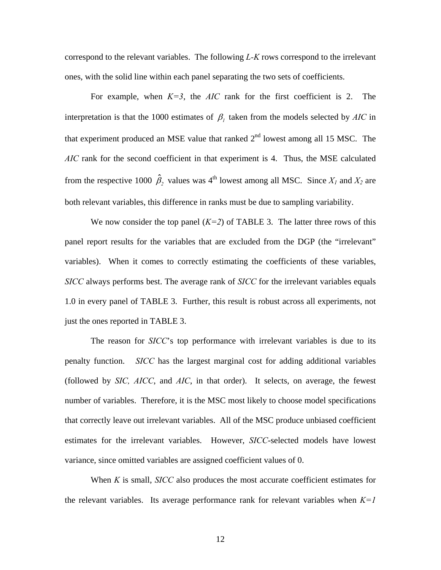correspond to the relevant variables. The following *L-K* rows correspond to the irrelevant ones, with the solid line within each panel separating the two sets of coefficients.

For example, when  $K=3$ , the *AIC* rank for the first coefficient is 2. The interpretation is that the 1000 estimates of  $\beta$ <sub>*l*</sub> taken from the models selected by *AIC* in that experiment produced an MSE value that ranked  $2<sup>nd</sup>$  lowest among all 15 MSC. The *AIC* rank for the second coefficient in that experiment is 4. Thus, the MSE calculated from the respective 1000  $\hat{\beta}_2$  values was 4<sup>th</sup> lowest among all MSC. Since  $X_1$  and  $X_2$  are both relevant variables, this difference in ranks must be due to sampling variability.

We now consider the top panel  $(K=2)$  of TABLE 3. The latter three rows of this panel report results for the variables that are excluded from the DGP (the "irrelevant" variables). When it comes to correctly estimating the coefficients of these variables, *SICC* always performs best. The average rank of *SICC* for the irrelevant variables equals 1.0 in every panel of TABLE 3. Further, this result is robust across all experiments, not just the ones reported in TABLE 3.

 The reason for *SICC*'s top performance with irrelevant variables is due to its penalty function. *SICC* has the largest marginal cost for adding additional variables (followed by *SIC, AICC*, and *AIC*, in that order). It selects, on average, the fewest number of variables. Therefore, it is the MSC most likely to choose model specifications that correctly leave out irrelevant variables. All of the MSC produce unbiased coefficient estimates for the irrelevant variables. However, *SICC*-selected models have lowest variance, since omitted variables are assigned coefficient values of 0.

 When *K* is small, *SICC* also produces the most accurate coefficient estimates for the relevant variables. Its average performance rank for relevant variables when  $K=1$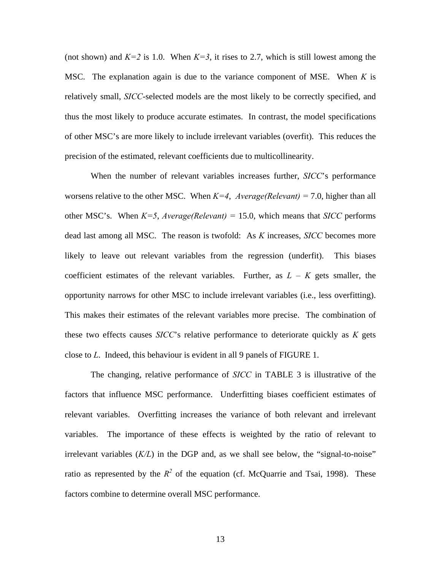(not shown) and  $K=2$  is 1.0. When  $K=3$ , it rises to 2.7, which is still lowest among the MSC. The explanation again is due to the variance component of MSE. When *K* is relatively small, *SICC*-selected models are the most likely to be correctly specified, and thus the most likely to produce accurate estimates. In contrast, the model specifications of other MSC's are more likely to include irrelevant variables (overfit). This reduces the precision of the estimated, relevant coefficients due to multicollinearity.

When the number of relevant variables increases further, *SICC*'s performance worsens relative to the other MSC. When  $K=4$ , *Average(Relevant)* = 7.0, higher than all other MSC's. When  $K=5$ , *Average(Relevant)* = 15.0, which means that *SICC* performs dead last among all MSC. The reason is twofold: As *K* increases, *SICC* becomes more likely to leave out relevant variables from the regression (underfit). This biases coefficient estimates of the relevant variables. Further, as  $L - K$  gets smaller, the opportunity narrows for other MSC to include irrelevant variables (i.e., less overfitting). This makes their estimates of the relevant variables more precise. The combination of these two effects causes *SICC*'s relative performance to deteriorate quickly as *K* gets close to *L*. Indeed, this behaviour is evident in all 9 panels of FIGURE 1.

The changing, relative performance of *SICC* in TABLE 3 is illustrative of the factors that influence MSC performance. Underfitting biases coefficient estimates of relevant variables. Overfitting increases the variance of both relevant and irrelevant variables. The importance of these effects is weighted by the ratio of relevant to irrelevant variables (*K/L*) in the DGP and, as we shall see below, the "signal-to-noise" ratio as represented by the  $R^2$  of the equation (cf. McQuarrie and Tsai, 1998). These factors combine to determine overall MSC performance.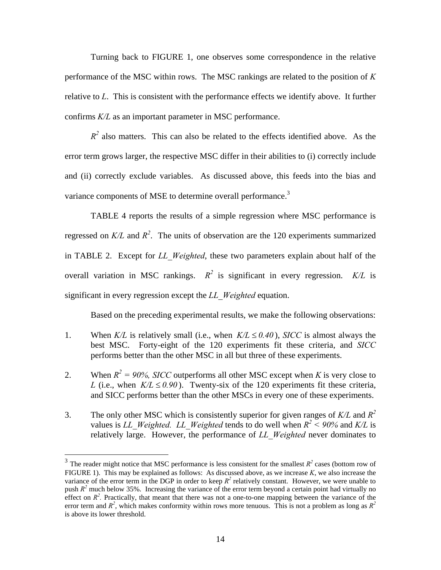Turning back to FIGURE 1, one observes some correspondence in the relative performance of the MSC within rows. The MSC rankings are related to the position of *K* relative to *L*. This is consistent with the performance effects we identify above. It further confirms *K/L* as an important parameter in MSC performance.

 $R<sup>2</sup>$  also matters. This can also be related to the effects identified above. As the error term grows larger, the respective MSC differ in their abilities to (i) correctly include and (ii) correctly exclude variables. As discussed above, this feeds into the bias and variance components of MSE to determine overall performance.<sup>3</sup>

TABLE 4 reports the results of a simple regression where MSC performance is regressed on  $K/L$  and  $R^2$ . The units of observation are the 120 experiments summarized in TABLE 2. Except for *LL\_Weighted*, these two parameters explain about half of the overall variation in MSC rankings.  $R^2$  is significant in every regression.  $K/L$  is significant in every regression except the *LL\_Weighted* equation.

Based on the preceding experimental results, we make the following observations:

- 1. When  $K/L$  is relatively small (i.e., when  $K/L \leq 0.40$ ), *SICC* is almost always the best MSC. Forty-eight of the 120 experiments fit these criteria, and *SICC* performs better than the other MSC in all but three of these experiments.
- 2. When  $R^2 = 90\%$ , *SICC* outperforms all other MSC except when *K* is very close to *L* (i.e., when  $K/L \le 0.90$ ). Twenty-six of the 120 experiments fit these criteria, and SICC performs better than the other MSCs in every one of these experiments.
- 3. The only other MSC which is consistently superior for given ranges of *K/L* and *R2*  values is *LL\_Weighted. LL\_Weighted* tends to do well when  $R^2 < 90\%$  and *K*/*L* is relatively large. However, the performance of *LL\_Weighted* never dominates to

 $\overline{a}$ 

<sup>&</sup>lt;sup>3</sup> The reader might notice that MSC performance is less consistent for the smallest  $R^2$  cases (bottom row of FIGURE 1). This may be explained as follows: As discussed above, as we increase *K*, we also increase the variance of the error term in the DGP in order to keep  $R^2$  relatively constant. However, we were unable to push  $R^2$  much below 35%. Increasing the variance of the error term beyond a certain point had virtually no effect on  $R^2$ . Practically, that meant that there was not a one-to-one mapping between the variance of the error term and  $R^2$ , which makes conformity within rows more tenuous. This is not a problem as long as  $R^2$ is above its lower threshold.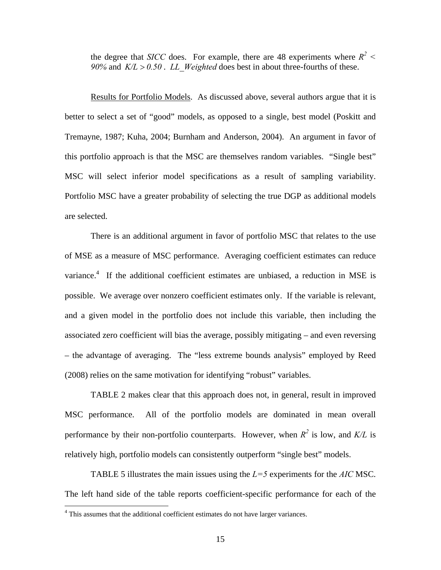the degree that *SICC* does. For example, there are 48 experiments where  $R^2$  < *90%* and  $K/L > 0.50$ . *LL Weighted* does best in about three-fourths of these.

 Results for Portfolio Models. As discussed above, several authors argue that it is better to select a set of "good" models, as opposed to a single, best model (Poskitt and Tremayne, 1987; Kuha, 2004; Burnham and Anderson, 2004). An argument in favor of this portfolio approach is that the MSC are themselves random variables. "Single best" MSC will select inferior model specifications as a result of sampling variability. Portfolio MSC have a greater probability of selecting the true DGP as additional models are selected.

There is an additional argument in favor of portfolio MSC that relates to the use of MSE as a measure of MSC performance. Averaging coefficient estimates can reduce variance.<sup>4</sup> If the additional coefficient estimates are unbiased, a reduction in MSE is possible. We average over nonzero coefficient estimates only. If the variable is relevant, and a given model in the portfolio does not include this variable, then including the associated zero coefficient will bias the average, possibly mitigating – and even reversing – the advantage of averaging. The "less extreme bounds analysis" employed by Reed (2008) relies on the same motivation for identifying "robust" variables.

TABLE 2 makes clear that this approach does not, in general, result in improved MSC performance. All of the portfolio models are dominated in mean overall performance by their non-portfolio counterparts. However, when  $R^2$  is low, and  $K/L$  is relatively high, portfolio models can consistently outperform "single best" models.

TABLE 5 illustrates the main issues using the *L=5* experiments for the *AIC* MSC. The left hand side of the table reports coefficient-specific performance for each of the

 $\overline{a}$ 

<sup>&</sup>lt;sup>4</sup> This assumes that the additional coefficient estimates do not have larger variances.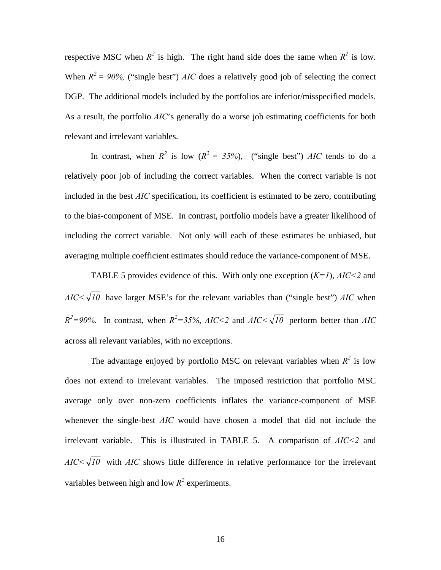respective MSC when  $R^2$  is high. The right hand side does the same when  $R^2$  is low. When  $R^2 = 90\%$ , ("single best") *AIC* does a relatively good job of selecting the correct DGP. The additional models included by the portfolios are inferior/misspecified models. As a result, the portfolio *AIC*'s generally do a worse job estimating coefficients for both relevant and irrelevant variables.

In contrast, when  $R^2$  is low  $(R^2 = 35\%)$ , ("single best") *AIC* tends to do a relatively poor job of including the correct variables. When the correct variable is not included in the best *AIC* specification, its coefficient is estimated to be zero, contributing to the bias-component of MSE. In contrast, portfolio models have a greater likelihood of including the correct variable. Not only will each of these estimates be unbiased, but averaging multiple coefficient estimates should reduce the variance-component of MSE.

TABLE 5 provides evidence of this. With only one exception (*K=1*), *AIC<2* and  $AIC<\sqrt{10}$  have larger MSE's for the relevant variables than ("single best") *AIC* when  $R^2 = 90\%$ . In contrast, when  $R^2 = 35\%$ ,  $AIC \le 2$  and  $AIC \le \sqrt{10}$  perform better than *AIC* across all relevant variables, with no exceptions.

The advantage enjoyed by portfolio MSC on relevant variables when  $R^2$  is low does not extend to irrelevant variables. The imposed restriction that portfolio MSC average only over non-zero coefficients inflates the variance-component of MSE whenever the single-best *AIC* would have chosen a model that did not include the irrelevant variable. This is illustrated in TABLE 5. A comparison of *AIC<2* and  $AIC < \sqrt{10}$  with *AIC* shows little difference in relative performance for the irrelevant variables between high and low  $R^2$  experiments.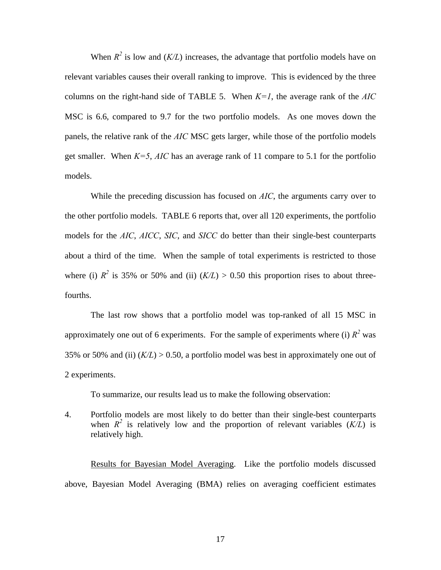When  $R^2$  is low and  $(K/L)$  increases, the advantage that portfolio models have on relevant variables causes their overall ranking to improve. This is evidenced by the three columns on the right-hand side of TABLE 5. When  $K=1$ , the average rank of the  $AIC$ MSC is 6.6, compared to 9.7 for the two portfolio models. As one moves down the panels, the relative rank of the *AIC* MSC gets larger, while those of the portfolio models get smaller. When *K=5*, *AIC* has an average rank of 11 compare to 5.1 for the portfolio models.

While the preceding discussion has focused on *AIC*, the arguments carry over to the other portfolio models. TABLE 6 reports that, over all 120 experiments, the portfolio models for the *AIC*, *AICC*, *SIC*, and *SICC* do better than their single-best counterparts about a third of the time. When the sample of total experiments is restricted to those where (i)  $R^2$  is 35% or 50% and (ii)  $(K/L) > 0.50$  this proportion rises to about threefourths.

The last row shows that a portfolio model was top-ranked of all 15 MSC in approximately one out of 6 experiments. For the sample of experiments where (i)  $R^2$  was 35% or 50% and (ii)  $(K/L) > 0.50$ , a portfolio model was best in approximately one out of 2 experiments.

To summarize, our results lead us to make the following observation:

4. Portfolio models are most likely to do better than their single-best counterparts when  $R^2$  is relatively low and the proportion of relevant variables  $(K/L)$  is relatively high.

Results for Bayesian Model Averaging. Like the portfolio models discussed above, Bayesian Model Averaging (BMA) relies on averaging coefficient estimates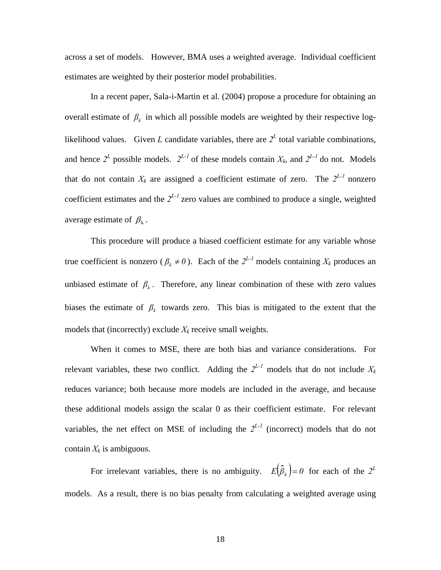across a set of models. However, BMA uses a weighted average. Individual coefficient estimates are weighted by their posterior model probabilities.

In a recent paper, Sala-i-Martin et al. (2004) propose a procedure for obtaining an overall estimate of  $\beta_k$  in which all possible models are weighted by their respective loglikelihood values. Given *L* candidate variables, there are  $2^L$  total variable combinations, and hence  $2^L$  possible models.  $2^{L-1}$  of these models contain  $X_k$ , and  $2^{L-1}$  do not. Models that do not contain  $X_k$  are assigned a coefficient estimate of zero. The  $2^{L-1}$  nonzero coefficient estimates and the  $2^{L-1}$  zero values are combined to produce a single, weighted average estimate of  $\beta_k$ .

This procedure will produce a biased coefficient estimate for any variable whose true coefficient is nonzero ( $\beta_k \neq 0$ ). Each of the  $2^{L-1}$  models containing  $X_k$  produces an unbiased estimate of  $\beta_k$ . Therefore, any linear combination of these with zero values biases the estimate of  $\beta_k$  towards zero. This bias is mitigated to the extent that the models that (incorrectly) exclude  $X_k$  receive small weights.

When it comes to MSE, there are both bias and variance considerations. For relevant variables, these two conflict. Adding the  $2^{L-1}$  models that do not include  $X_k$ reduces variance; both because more models are included in the average, and because these additional models assign the scalar 0 as their coefficient estimate. For relevant variables, the net effect on MSE of including the  $2^{L-1}$  (incorrect) models that do not contain  $X_k$  is ambiguous.

For irrelevant variables, there is no ambiguity.  $E(\hat{\beta}_k) = 0$  for each of the  $2^L$ models. As a result, there is no bias penalty from calculating a weighted average using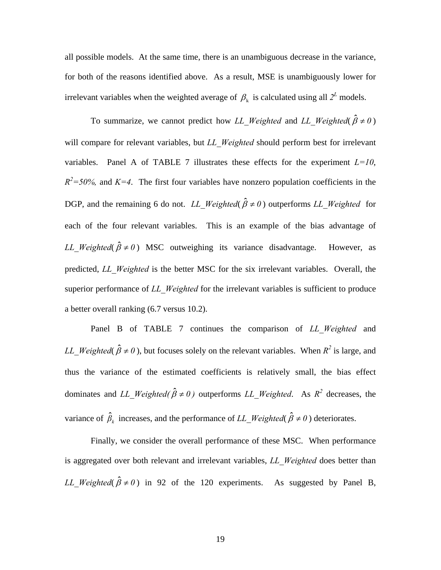all possible models. At the same time, there is an unambiguous decrease in the variance, for both of the reasons identified above. As a result, MSE is unambiguously lower for irrelevant variables when the weighted average of  $\beta_k$  is calculated using all  $2^L$  models.

To summarize, we cannot predict how *LL Weighted* and *LL Weighted*( $\hat{\beta} \neq 0$ ) will compare for relevant variables, but *LL\_Weighted* should perform best for irrelevant variables. Panel A of TABLE 7 illustrates these effects for the experiment  $L=10$ ,  $R^2$ =50%, and  $K=4$ . The first four variables have nonzero population coefficients in the DGP, and the remaining 6 do not. *LL Weighted*( $\hat{\beta} \neq 0$ ) outperforms *LL Weighted* for each of the four relevant variables. This is an example of the bias advantage of *LL* Weighted( $\hat{\beta} \neq 0$ ) MSC outweighing its variance disadvantage. However, as predicted, *LL\_Weighted* is the better MSC for the six irrelevant variables. Overall, the superior performance of *LL Weighted* for the irrelevant variables is sufficient to produce a better overall ranking (6.7 versus 10.2).

Panel B of TABLE 7 continues the comparison of *LL\_Weighted* and *LL Weighted*( $\hat{\beta} \neq 0$ ), but focuses solely on the relevant variables. When  $R^2$  is large, and thus the variance of the estimated coefficients is relatively small, the bias effect dominates and *LL Weighted(* $\hat{\beta} \neq 0$ ) outperforms *LL Weighted*. As  $R^2$  decreases, the variance of  $\hat{\beta}_k$  increases, and the performance of *LL\_Weighted*( $\hat{\beta} \neq 0$ ) deteriorates.

Finally, we consider the overall performance of these MSC. When performance is aggregated over both relevant and irrelevant variables, *LL\_Weighted* does better than *LL* Weighted( $\hat{\beta} \neq 0$ ) in 92 of the 120 experiments. As suggested by Panel B,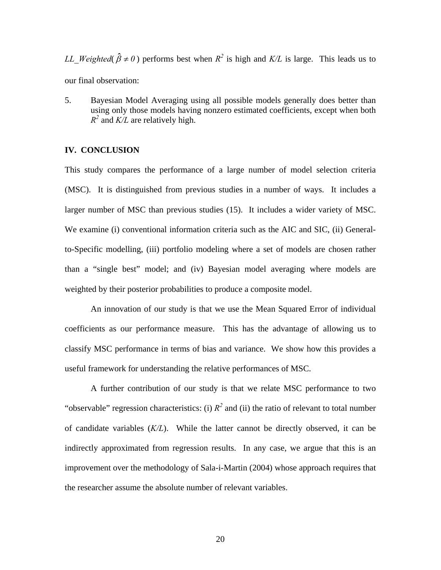*LL\_Weighted*( $\hat{\beta} \neq 0$ ) performs best when  $R^2$  is high and  $K/L$  is large. This leads us to our final observation:

5. Bayesian Model Averaging using all possible models generally does better than using only those models having nonzero estimated coefficients, except when both *R2* and *K/L* are relatively high.

## **IV. CONCLUSION**

This study compares the performance of a large number of model selection criteria (MSC). It is distinguished from previous studies in a number of ways. It includes a larger number of MSC than previous studies (15). It includes a wider variety of MSC. We examine (i) conventional information criteria such as the AIC and SIC, (ii) Generalto-Specific modelling, (iii) portfolio modeling where a set of models are chosen rather than a "single best" model; and (iv) Bayesian model averaging where models are weighted by their posterior probabilities to produce a composite model.

An innovation of our study is that we use the Mean Squared Error of individual coefficients as our performance measure. This has the advantage of allowing us to classify MSC performance in terms of bias and variance. We show how this provides a useful framework for understanding the relative performances of MSC.

A further contribution of our study is that we relate MSC performance to two "observable" regression characteristics: (i)  $R^2$  and (ii) the ratio of relevant to total number of candidate variables (*K/L*). While the latter cannot be directly observed, it can be indirectly approximated from regression results. In any case, we argue that this is an improvement over the methodology of Sala-i-Martin (2004) whose approach requires that the researcher assume the absolute number of relevant variables.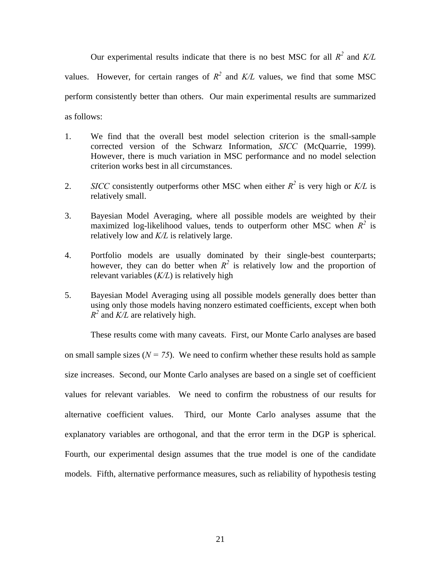Our experimental results indicate that there is no best MSC for all  $R^2$  and  $K/L$ values. However, for certain ranges of  $R^2$  and  $K/L$  values, we find that some MSC perform consistently better than others. Our main experimental results are summarized as follows:

- 1. We find that the overall best model selection criterion is the small-sample corrected version of the Schwarz Information, *SICC* (McQuarrie, 1999). However, there is much variation in MSC performance and no model selection criterion works best in all circumstances.
- 2. *SICC* consistently outperforms other MSC when either  $R^2$  is very high or  $K/L$  is relatively small.
- 3. Bayesian Model Averaging, where all possible models are weighted by their maximized log-likelihood values, tends to outperform other MSC when  $R^2$  is relatively low and *K/L* is relatively large.
- 4. Portfolio models are usually dominated by their single-best counterparts; however, they can do better when  $R^2$  is relatively low and the proportion of relevant variables (*K/L*) is relatively high
- 5. Bayesian Model Averaging using all possible models generally does better than using only those models having nonzero estimated coefficients, except when both  $R^2$  and *K/L* are relatively high.

These results come with many caveats. First, our Monte Carlo analyses are based on small sample sizes  $(N = 75)$ . We need to confirm whether these results hold as sample size increases. Second, our Monte Carlo analyses are based on a single set of coefficient values for relevant variables. We need to confirm the robustness of our results for alternative coefficient values. Third, our Monte Carlo analyses assume that the explanatory variables are orthogonal, and that the error term in the DGP is spherical. Fourth, our experimental design assumes that the true model is one of the candidate models. Fifth, alternative performance measures, such as reliability of hypothesis testing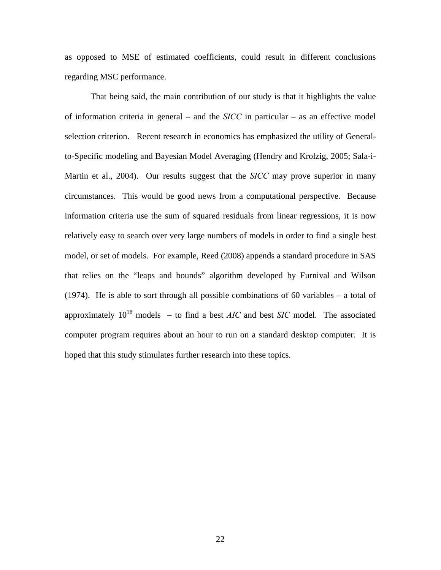as opposed to MSE of estimated coefficients, could result in different conclusions regarding MSC performance.

That being said, the main contribution of our study is that it highlights the value of information criteria in general – and the *SICC* in particular – as an effective model selection criterion. Recent research in economics has emphasized the utility of Generalto-Specific modeling and Bayesian Model Averaging (Hendry and Krolzig, 2005; Sala-i-Martin et al., 2004). Our results suggest that the *SICC* may prove superior in many circumstances. This would be good news from a computational perspective. Because information criteria use the sum of squared residuals from linear regressions, it is now relatively easy to search over very large numbers of models in order to find a single best model, or set of models. For example, Reed (2008) appends a standard procedure in SAS that relies on the "leaps and bounds" algorithm developed by Furnival and Wilson (1974). He is able to sort through all possible combinations of 60 variables – a total of approximately  $10^{18}$  models – to find a best *AIC* and best *SIC* model. The associated computer program requires about an hour to run on a standard desktop computer. It is hoped that this study stimulates further research into these topics.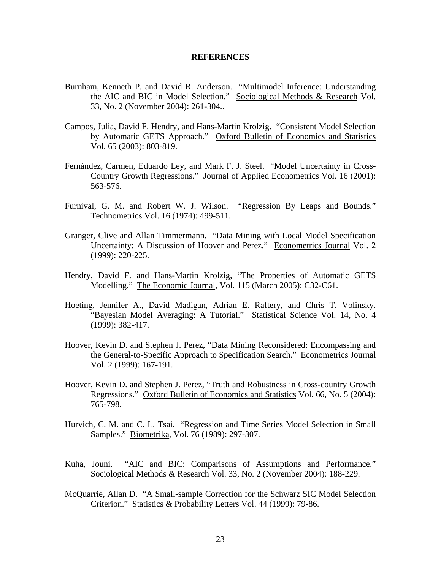## **REFERENCES**

- Burnham, Kenneth P. and David R. Anderson. "Multimodel Inference: Understanding the AIC and BIC in Model Selection." Sociological Methods & Research Vol. 33, No. 2 (November 2004): 261-304..
- Campos, Julia, David F. Hendry, and Hans-Martin Krolzig. "Consistent Model Selection by Automatic GETS Approach." Oxford Bulletin of Economics and Statistics Vol. 65 (2003): 803-819.
- Fernández, Carmen, Eduardo Ley, and Mark F. J. Steel. "Model Uncertainty in Cross-Country Growth Regressions." Journal of Applied Econometrics Vol. 16 (2001): 563-576.
- Furnival, G. M. and Robert W. J. Wilson. "Regression By Leaps and Bounds." Technometrics Vol. 16 (1974): 499-511.
- Granger, Clive and Allan Timmermann. "Data Mining with Local Model Specification Uncertainty: A Discussion of Hoover and Perez." Econometrics Journal Vol. 2 (1999): 220-225.
- Hendry, David F. and Hans-Martin Krolzig, "The Properties of Automatic GETS Modelling." The Economic Journal, Vol. 115 (March 2005): C32-C61.
- Hoeting, Jennifer A., David Madigan, Adrian E. Raftery, and Chris T. Volinsky. "Bayesian Model Averaging: A Tutorial." Statistical Science Vol. 14, No. 4 (1999): 382-417.
- Hoover, Kevin D. and Stephen J. Perez, "Data Mining Reconsidered: Encompassing and the General-to-Specific Approach to Specification Search." Econometrics Journal Vol. 2 (1999): 167-191.
- Hoover, Kevin D. and Stephen J. Perez, "Truth and Robustness in Cross-country Growth Regressions." Oxford Bulletin of Economics and Statistics Vol. 66, No. 5 (2004): 765-798.
- Hurvich, C. M. and C. L. Tsai. "Regression and Time Series Model Selection in Small Samples." Biometrika, Vol. 76 (1989): 297-307.
- Kuha, Jouni. "AIC and BIC: Comparisons of Assumptions and Performance." Sociological Methods & Research Vol. 33, No. 2 (November 2004): 188-229.
- McQuarrie, Allan D. "A Small-sample Correction for the Schwarz SIC Model Selection Criterion." Statistics & Probability Letters Vol. 44 (1999): 79-86.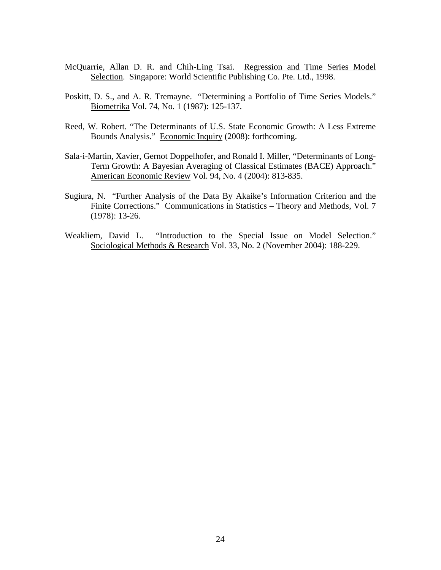- McQuarrie, Allan D. R. and Chih-Ling Tsai. Regression and Time Series Model Selection. Singapore: World Scientific Publishing Co. Pte. Ltd., 1998.
- Poskitt, D. S., and A. R. Tremayne. "Determining a Portfolio of Time Series Models." Biometrika Vol. 74, No. 1 (1987): 125-137.
- Reed, W. Robert. "The Determinants of U.S. State Economic Growth: A Less Extreme Bounds Analysis." Economic Inquiry (2008): forthcoming.
- Sala-i-Martin, Xavier, Gernot Doppelhofer, and Ronald I. Miller, "Determinants of Long-Term Growth: A Bayesian Averaging of Classical Estimates (BACE) Approach." American Economic Review Vol. 94, No. 4 (2004): 813-835.
- Sugiura, N. "Further Analysis of the Data By Akaike's Information Criterion and the Finite Corrections." Communications in Statistics – Theory and Methods, Vol. 7 (1978): 13-26.
- Weakliem, David L. "Introduction to the Special Issue on Model Selection." Sociological Methods & Research Vol. 33, No. 2 (November 2004): 188-229.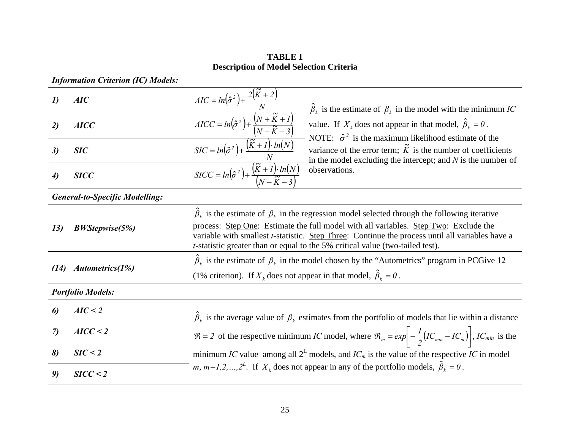|                     | <b>Information Criterion (IC) Models:</b> |                                                                                                                                                                                                                                                                                                                                                                                                                                                     |  |  |  |
|---------------------|-------------------------------------------|-----------------------------------------------------------------------------------------------------------------------------------------------------------------------------------------------------------------------------------------------------------------------------------------------------------------------------------------------------------------------------------------------------------------------------------------------------|--|--|--|
| $\boldsymbol{\eta}$ | AIC                                       | $\hat{\beta}_k$ is the estimate of $\beta_k$ in the model with the minimum IC                                                                                                                                                                                                                                                                                                                                                                       |  |  |  |
| 2)                  | <b>AICC</b>                               | $AIC = ln(\hat{\sigma}^2) + \frac{2(\tilde{K} + 2)}{N}$<br>$AICC = ln(\hat{\sigma}^2) + \frac{(N + \tilde{K} + 1)}{(N - \tilde{K} - 3)}$<br>$SIC = ln(\hat{\sigma}^2) + \frac{(\tilde{K} + 1) \cdot ln(N)}{N}$<br>$SICC = ln(\hat{\sigma}^2) + \frac{(\tilde{K} + 1) \cdot ln(N)}{(N - \tilde{K} - 3)}$<br>value. If $X_k$ does not appear in that model, $\hat{\beta}_k = 0$ .<br>NOTE: $\hat{\sigma}^2$ is the maximum likelihood estimate of the |  |  |  |
| 3)                  | <b>SIC</b>                                | variance of the error term; $\tilde{K}$ is the number of coefficients<br>in the model excluding the intercept; and $N$ is the number of                                                                                                                                                                                                                                                                                                             |  |  |  |
| $\boldsymbol{\psi}$ | <b>SICC</b>                               | observations.                                                                                                                                                                                                                                                                                                                                                                                                                                       |  |  |  |
|                     | <b>General-to-Specific Modelling:</b>     |                                                                                                                                                                                                                                                                                                                                                                                                                                                     |  |  |  |
| 13)                 | <b>BWStepwise(5%)</b>                     | $\hat{\beta}_k$ is the estimate of $\beta_k$ in the regression model selected through the following iterative<br>process: Step One: Estimate the full model with all variables. Step Two: Exclude the<br>variable with smallest <i>t</i> -statistic. Step Three: Continue the process until all variables have a<br><i>t</i> -statistic greater than or equal to the 5% critical value (two-tailed test).                                           |  |  |  |
| (14)                | Autometrics(1%)                           | $\hat{\beta}_k$ is the estimate of $\beta_k$ in the model chosen by the "Autometrics" program in PCGive 12<br>(1% criterion). If $X_k$ does not appear in that model, $\hat{\beta}_k = 0$ .                                                                                                                                                                                                                                                         |  |  |  |
|                     | <b>Portfolio Models:</b>                  |                                                                                                                                                                                                                                                                                                                                                                                                                                                     |  |  |  |
| 6)                  | AIC < 2                                   | $\hat{\beta}_k$ is the average value of $\beta_k$ estimates from the portfolio of models that lie within a distance                                                                                                                                                                                                                                                                                                                                 |  |  |  |
| $\mathcal{L}$       | AICC < 2                                  | $\Re = 2$ of the respective minimum IC model, where $\Re_m = \exp \left(-\frac{1}{2}(IC_{min} - IC_m)\right)$ , IC <sub>min</sub> is the                                                                                                                                                                                                                                                                                                            |  |  |  |
| 8)                  | SIC < 2                                   | minimum IC value among all $2^L$ models, and IC <sub>m</sub> is the value of the respective IC in model                                                                                                                                                                                                                                                                                                                                             |  |  |  |
| 9)                  | SICC < 2                                  | <i>m</i> , $m=1,2,,2^L$ . If $X_k$ does not appear in any of the portfolio models, $\hat{\beta}_k = 0$ .                                                                                                                                                                                                                                                                                                                                            |  |  |  |

**TABLE 1 Description of Model Selection Criteria**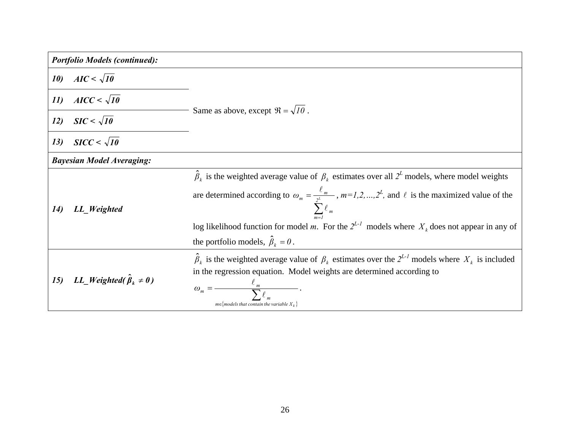|     | <b>Portfolio Models (continued):</b>  |                                                                                                                                                                                                                                                                                                                                                                     |
|-----|---------------------------------------|---------------------------------------------------------------------------------------------------------------------------------------------------------------------------------------------------------------------------------------------------------------------------------------------------------------------------------------------------------------------|
| 10) | $AIC < \sqrt{10}$                     |                                                                                                                                                                                                                                                                                                                                                                     |
| 11) | $AICC < \sqrt{10}$                    |                                                                                                                                                                                                                                                                                                                                                                     |
| 12) | $SIC < \sqrt{10}$                     | Same as above, except $\Re = \sqrt{10}$ .                                                                                                                                                                                                                                                                                                                           |
| 13) | $SICC<\sqrt{10}$                      |                                                                                                                                                                                                                                                                                                                                                                     |
|     | <b>Bayesian Model Averaging:</b>      |                                                                                                                                                                                                                                                                                                                                                                     |
| 14) | LL_Weighted                           | $\hat{\beta}_k$ is the weighted average value of $\beta_k$ estimates over all $2^L$ models, where model weights<br>are determined according to $\omega_m = \frac{\ell_m}{\ell}$ , $m = 1, 2, , 2^L$ , and $\ell$ is the maximized value of the<br>$\sum_{m}$<br>log likelihood function for model m. For the $2^{L-1}$ models where $X_k$ does not appear in any of |
|     |                                       | the portfolio models, $\hat{\beta}_k = 0$ .                                                                                                                                                                                                                                                                                                                         |
| 15) | LL_Weighted( $\hat{\beta}_k \neq 0$ ) | $\hat{\beta}_k$ is the weighted average value of $\beta_k$ estimates over the $2^{L-1}$ models where $X_k$ is included<br>in the regression equation. Model weights are determined according to<br>$\omega_m =$<br>$m \in \{models$ that contain the variable $X_k$                                                                                                 |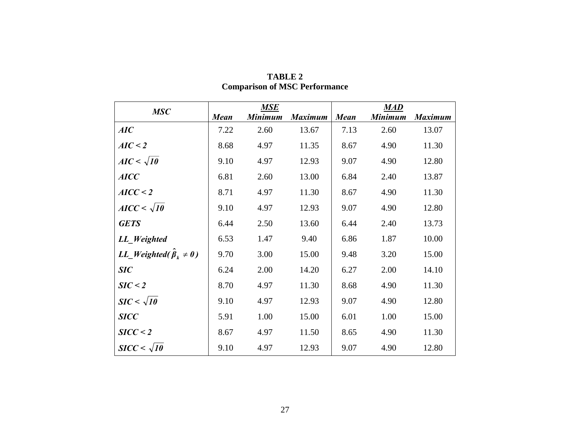|                                               |             | <b>MSE</b>     |                |             | <b>MAD</b>     |                |
|-----------------------------------------------|-------------|----------------|----------------|-------------|----------------|----------------|
| <b>MSC</b>                                    | <b>Mean</b> | <b>Minimum</b> | <b>Maximum</b> | <b>Mean</b> | <b>Minimum</b> | <b>Maximum</b> |
| AIC                                           | 7.22        | 2.60           | 13.67          | 7.13        | 2.60           | 13.07          |
| AIC < 2                                       | 8.68        | 4.97           | 11.35          | 8.67        | 4.90           | 11.30          |
| $AIC < \sqrt{10}$                             | 9.10        | 4.97           | 12.93          | 9.07        | 4.90           | 12.80          |
| <b>AICC</b>                                   | 6.81        | 2.60           | 13.00          | 6.84        | 2.40           | 13.87          |
| AICC < 2                                      | 8.71        | 4.97           | 11.30          | 8.67        | 4.90           | 11.30          |
| $AICC<\sqrt{10}$                              | 9.10        | 4.97           | 12.93          | 9.07        | 4.90           | 12.80          |
| <b>GETS</b>                                   | 6.44        | 2.50           | 13.60          | 6.44        | 2.40           | 13.73          |
| LL_Weighted                                   | 6.53        | 1.47           | 9.40           | 6.86        | 1.87           | 10.00          |
| <i>LL_Weighted</i> ( $\hat{\beta}_k \neq 0$ ) | 9.70        | 3.00           | 15.00          | 9.48        | 3.20           | 15.00          |
| <b>SIC</b>                                    | 6.24        | 2.00           | 14.20          | 6.27        | 2.00           | 14.10          |
| SIC < 2                                       | 8.70        | 4.97           | 11.30          | 8.68        | 4.90           | 11.30          |
| $SIC < \sqrt{10}$                             | 9.10        | 4.97           | 12.93          | 9.07        | 4.90           | 12.80          |
| <b>SICC</b>                                   | 5.91        | 1.00           | 15.00          | 6.01        | 1.00           | 15.00          |
| SICC < 2                                      | 8.67        | 4.97           | 11.50          | 8.65        | 4.90           | 11.30          |
| $SICC<\sqrt{10}$                              | 9.10        | 4.97           | 12.93          | 9.07        | 4.90           | 12.80          |

| <b>TABLE 2</b>                       |
|--------------------------------------|
| <b>Comparison of MSC Performance</b> |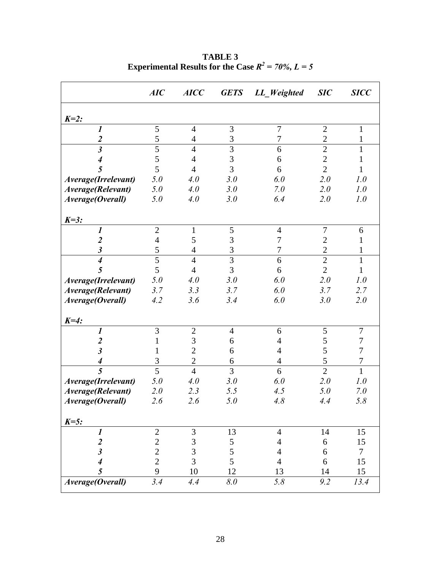|                             | AIC            | <b>AICC</b>              | <b>GETS</b>        | LL Weighted      | SIC            | <b>SICC</b>      |
|-----------------------------|----------------|--------------------------|--------------------|------------------|----------------|------------------|
| $K=2$ :                     |                |                          |                    |                  |                |                  |
| $\boldsymbol{l}$            | 5              | $\overline{4}$           | 3                  | 7                | $\mathbf{2}$   | 1                |
| $\boldsymbol{2}$            | 5              | $\overline{\mathcal{A}}$ | $\mathfrak{Z}$     | 7                | $\overline{2}$ | 1                |
| $\mathfrak{z}$              | 5              | $\overline{4}$           | $\overline{3}$     | 6                | $\overline{2}$ | 1                |
| $\boldsymbol{4}$            | 5              | $\overline{4}$           | 3                  | 6                | $\sqrt{2}$     | 1                |
| 5                           | 5              | $\overline{4}$           | $\overline{3}$     | 6                | $\overline{2}$ | 1                |
| Average(Irrelevant)         | 5.0            | 4.0                      | 3.0                | 6.0              | 2.0            | 1.0              |
| Average(Relevant)           | 5.0            | 4.0                      | 3.0                | 7.0              | 2.0            | 1.0              |
| Average(Overall)            | 5.0            | 4.0                      | 3.0                | 6.4              | 2.0            | 1.0              |
| $K=3$ :                     |                |                          |                    |                  |                |                  |
| 1                           | $\mathbf{2}$   | $\mathbf{1}$             | $\sqrt{5}$         | $\overline{4}$   | 7              | 6                |
| $\overline{2}$              | $\overline{4}$ | 5                        | 3                  | 7                | $\overline{2}$ | 1                |
| $\boldsymbol{\beta}$        | 5              | $\overline{4}$           | 3                  | $\boldsymbol{7}$ | $\overline{2}$ | $\mathbf{1}$     |
| $\overline{\boldsymbol{4}}$ | 5              | $\overline{4}$           | 3                  | 6                | $\overline{2}$ | $\mathbf{1}$     |
| 5                           | 5              | $\overline{4}$           | 3                  | 6                | $\overline{2}$ | $\mathbf{1}$     |
| Average(Irrelevant)         | 5.0            | 4.0                      | 3.0                | 6.0              | 2.0            | 1.0              |
| Average(Relevant)           | 3.7            | 3.3                      | 3.7                | 6.0              | 3.7            | 2.7              |
| Average(Overall)            | 4.2            | 3.6                      | 3.4                | 6.0              | 3.0            | 2.0              |
| $K=4$ :                     |                |                          |                    |                  |                |                  |
| $\boldsymbol{l}$            | 3              | $\overline{2}$           | $\overline{4}$     | 6                | $\mathfrak s$  | $\tau$           |
| $\boldsymbol{2}$            | 1              | 3                        | 6                  | 4                | $\mathfrak s$  | $\boldsymbol{7}$ |
| $\boldsymbol{\beta}$        | 1              | $\overline{2}$           | 6                  | $\overline{4}$   | $\mathfrak s$  | $\tau$           |
| $\boldsymbol{4}$            | 3              | $\overline{2}$           | 6                  | $\overline{4}$   | 5              | $\boldsymbol{7}$ |
| $\overline{5}$              | 5              | $\overline{4}$           | $\overline{3}$     | 6                | $\overline{2}$ | $\mathbf{1}$     |
| Average(Irrelevant)         | 5.0            | 4.0                      | 3.0                | 6.0              | 2.0            | 1.0              |
| Average(Relevant)           | 2.0            | 2.3                      | 5.5                | 4.5              | 5.0            | 7.0              |
| Average(Overall)            | 2.6            | 2.6                      | 5.0                | 4.8              | 4.4            | 5.8              |
| $K=5$ :                     |                |                          |                    |                  |                |                  |
| $\boldsymbol{l}$            | $\sqrt{2}$     | $\mathfrak{Z}$           | 13                 | $\overline{4}$   | 14             | 15               |
| $\boldsymbol{2}$            | $\overline{2}$ | 3                        | 5                  | $\overline{4}$   | 6              | 15               |
| $\mathfrak{z}$              | $\overline{c}$ | $\overline{3}$           | 5                  | $\overline{4}$   | 6              | $\tau$           |
| $\overline{\boldsymbol{4}}$ | $\overline{2}$ | $\overline{3}$           | 5                  | $\overline{4}$   | 6              | 15               |
| 5                           | 9              | 10                       | 12                 | 13               | 14             | 15               |
| Average(Overall)            | 3.4            | 4.4                      | $\boldsymbol{8.0}$ | $5.8$            | 9.2            | 13.4             |

**TABLE 3 Experimental Results for the Case**  $R^2 = 70\%$ **,**  $L = 5$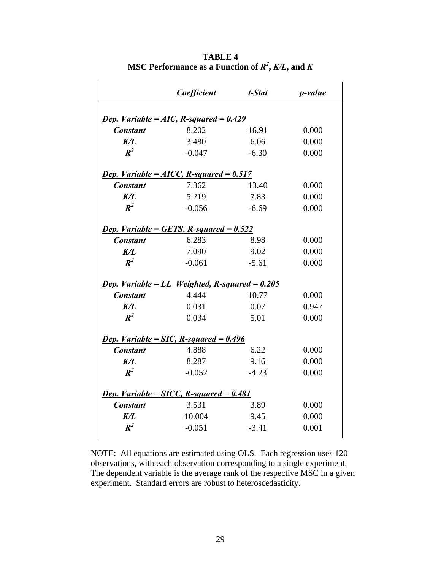|                                                 | Coefficient                                             | t-Stat  | <i>p</i> -value |  |  |  |  |  |
|-------------------------------------------------|---------------------------------------------------------|---------|-----------------|--|--|--|--|--|
| <b>Dep.</b> Variable = AIC, R-squared = $0.429$ |                                                         |         |                 |  |  |  |  |  |
| <b>Constant</b>                                 | 8.202                                                   | 16.91   | 0.000           |  |  |  |  |  |
| K/L                                             | 3.480                                                   | 6.06    | 0.000           |  |  |  |  |  |
| $\mathbb{R}^2$                                  | $-0.047$                                                | $-6.30$ | 0.000           |  |  |  |  |  |
|                                                 | <b>Dep.</b> Variable = $AICC, R-squared = 0.517$        |         |                 |  |  |  |  |  |
| <b>Constant</b>                                 | 7.362                                                   | 13.40   | 0.000           |  |  |  |  |  |
| K/L                                             | 5.219                                                   | 7.83    | 0.000           |  |  |  |  |  |
| $R^2$                                           | $-0.056$                                                | $-6.69$ | 0.000           |  |  |  |  |  |
|                                                 |                                                         |         |                 |  |  |  |  |  |
|                                                 | <b>Dep.</b> Variable = GETS, R-squared = $0.522$        |         |                 |  |  |  |  |  |
| <b>Constant</b>                                 | 6.283                                                   | 8.98    | 0.000           |  |  |  |  |  |
| K/L                                             | 7.090                                                   | 9.02    | 0.000           |  |  |  |  |  |
| $\mathbb{R}^2$                                  | $-0.061$                                                | $-5.61$ | 0.000           |  |  |  |  |  |
|                                                 | <b>Dep.</b> Variable = LL Weighted, R-squared = $0.205$ |         |                 |  |  |  |  |  |
| <b>Constant</b>                                 | 4.444                                                   | 10.77   | 0.000           |  |  |  |  |  |
| K/I                                             | 0.031                                                   | 0.07    | 0.947           |  |  |  |  |  |
| $\mathbb{R}^2$                                  | 0.034                                                   | 5.01    | 0.000           |  |  |  |  |  |
|                                                 |                                                         |         |                 |  |  |  |  |  |
|                                                 | <b>Dep.</b> Variable = SIC, R-squared = $0.496$         |         |                 |  |  |  |  |  |
| <b>Constant</b>                                 | 4.888                                                   | 6.22    | 0.000           |  |  |  |  |  |
| K/L                                             | 8.287                                                   | 9.16    | 0.000           |  |  |  |  |  |
| $\mathbb{R}^2$                                  | $-0.052$                                                | $-4.23$ | 0.000           |  |  |  |  |  |
|                                                 | <b>Dep.</b> Variable = SICC, R-squared = $0.481$        |         |                 |  |  |  |  |  |
| <b>Constant</b>                                 | 3.531                                                   | 3.89    | 0.000           |  |  |  |  |  |
| K/L                                             | 10.004                                                  | 9.45    | 0.000           |  |  |  |  |  |
| $R^2$                                           | $-0.051$                                                | $-3.41$ | 0.001           |  |  |  |  |  |

**TABLE 4**  <code>MSC</code> Performance as a Function of  $\mathit{R}^{2}, \mathit{K}/\mathit{L},$  and  $\mathit{K}$ 

NOTE: All equations are estimated using OLS. Each regression uses 120 observations, with each observation corresponding to a single experiment. The dependent variable is the average rank of the respective MSC in a given experiment. Standard errors are robust to heteroscedasticity.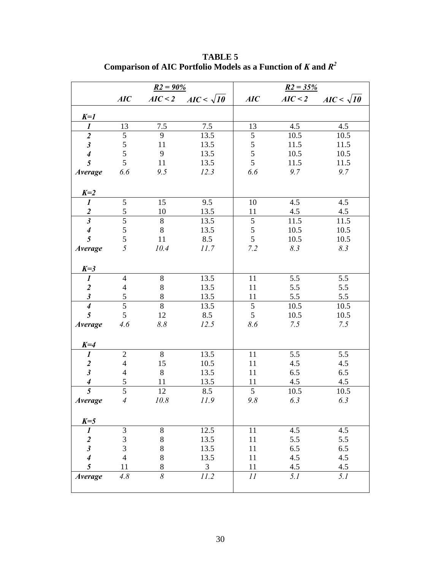|                             | $R2 = 90\%$              |                     |                   | $R2 = 35%$     |         |                   |  |
|-----------------------------|--------------------------|---------------------|-------------------|----------------|---------|-------------------|--|
|                             | AIC                      | AIC < 2             | $AIC < \sqrt{10}$ | AIC            | AIC < 2 | $AIC < \sqrt{10}$ |  |
| $K=1$                       |                          |                     |                   |                |         |                   |  |
| $\boldsymbol{l}$            | 13                       | 7.5                 | 7.5               | 13             | 4.5     | 4.5               |  |
| $\overline{2}$              | $\mathfrak{S}$           | 9                   | 13.5              | $\mathfrak s$  | 10.5    | 10.5              |  |
| $\boldsymbol{\beta}$        | 5                        | 11                  | 13.5              | 5              | 11.5    | 11.5              |  |
| $\boldsymbol{4}$            | 5                        | 9                   | 13.5              | 5              | 10.5    | 10.5              |  |
| 5                           | 5                        | 11                  | 13.5              | 5              | 11.5    | 11.5              |  |
| Average                     | 6.6                      | 9.5                 | 12.3              | 6.6            | 9.7     | 9.7               |  |
| $K=2$                       |                          |                     |                   |                |         |                   |  |
| $\boldsymbol{l}$            | $\overline{5}$           | 15                  | 9.5               | 10             | 4.5     | 4.5               |  |
| $rac{2}{3}$                 | 5                        | 10                  | 13.5              | 11             | 4.5     | 4.5               |  |
|                             | $\overline{5}$           | $8\,$               | 13.5              | $\overline{5}$ | 11.5    | 11.5              |  |
| $\boldsymbol{4}$            | 5                        | $8\,$               | 13.5              | $\sqrt{5}$     | 10.5    | 10.5              |  |
| 5                           | 5                        | 11                  | 8.5               | 5              | 10.5    | 10.5              |  |
| <b>Average</b>              | 5                        | 10.4                | 11.7              | 7.2            | 8.3     | 8.3               |  |
| $K=3$                       |                          |                     |                   |                |         |                   |  |
| $\boldsymbol{l}$            | $\overline{\mathcal{L}}$ | 8                   | 13.5              | 11             | 5.5     | 5.5               |  |
| $\boldsymbol{2}$            | $\overline{\mathbf{4}}$  | $8\,$               | 13.5              | 11             | 5.5     | 5.5               |  |
| $\boldsymbol{\mathfrak{z}}$ | 5                        | $8\,$               | 13.5              | 11             | 5.5     | 5.5               |  |
| $\overline{4}$              | $\overline{5}$           | $\overline{8}$      | 13.5              | $\overline{5}$ | 10.5    | 10.5              |  |
| $\overline{\mathfrak{s}}$   | 5                        | 12                  | 8.5               | 5              | 10.5    | 10.5              |  |
| Average                     | 4.6                      | 8.8                 | 12.5              | 8.6            | 7.5     | 7.5               |  |
| $K=4$                       |                          |                     |                   |                |         |                   |  |
| $\boldsymbol{l}$            | $\mathbf{2}$             | 8                   | 13.5              | 11             | 5.5     | 5.5               |  |
| $\frac{2}{3}$               | $\overline{4}$           | 15                  | 10.5              | 11             | 4.5     | 4.5               |  |
|                             | $\overline{\mathcal{L}}$ | $8\,$               | 13.5              | 11             | 6.5     | 6.5               |  |
| $\boldsymbol{4}$            | $\mathfrak s$            | 11                  | 13.5              | 11             | 4.5     | 4.5               |  |
| $\overline{5}$              | $\overline{5}$           | 12                  | 8.5               | $\overline{5}$ | 10.5    | 10.5              |  |
| Average                     | $\overline{4}$           | 10.8                | 11.9              | 9.8            | 6.3     | 6.3               |  |
| $K=5$                       |                          |                     |                   |                |         |                   |  |
| 1                           | 3                        | 8                   | 12.5              | 11             | 4.5     | 4.5               |  |
| $\overline{\mathbf{c}}$     | $\overline{3}$           | $8\,$               | 13.5              | 11             | 5.5     | 5.5               |  |
| $\boldsymbol{\hat{3}}$      | 3                        | $8\,$               | 13.5              | 11             | 6.5     | 6.5               |  |
| $\overline{\boldsymbol{4}}$ | $\overline{4}$           | $8\,$               | 13.5              | 11             | 4.5     | 4.5               |  |
| 5                           | 11                       | $8\,$               | $\mathfrak{Z}$    | 11             | 4.5     | 4.5               |  |
| Average                     | 4.8                      | $\overline{\delta}$ | 11.2              | II             | 5.1     | 5.1               |  |

**TABLE 5 Comparison of AIC Portfolio Models as a Function of** *K* **and** *R2*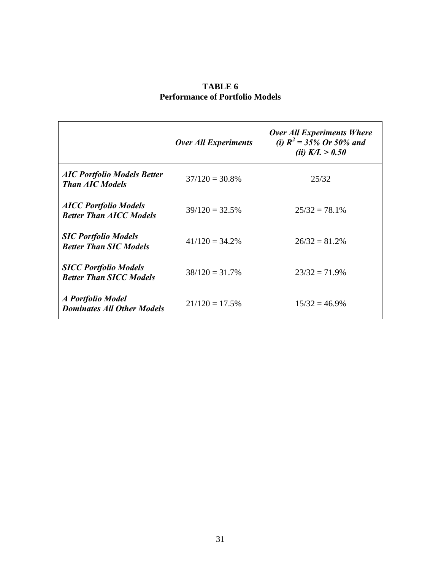|                                                                | <b>Over All Experiments</b> | <b>Over All Experiments Where</b><br>(i) $R^2 = 35\%$ Or 50% and<br>( <i>ii</i> ) $K/L > 0.50$ |
|----------------------------------------------------------------|-----------------------------|------------------------------------------------------------------------------------------------|
| <b>AIC Portfolio Models Better</b><br><b>Than AIC Models</b>   | $37/120 = 30.8\%$           | 25/32                                                                                          |
| <b>AICC Portfolio Models</b><br><b>Better Than AICC Models</b> | $39/120 = 32.5%$            | $25/32 = 78.1\%$                                                                               |
| <b>SIC Portfolio Models</b><br><b>Better Than SIC Models</b>   | $41/120 = 34.2\%$           | $26/32 = 81.2%$                                                                                |
| <b>SICC Portfolio Models</b><br><b>Better Than SICC Models</b> | $38/120 = 31.7\%$           | $23/32 = 71.9\%$                                                                               |
| A Portfolio Model<br><b>Dominates All Other Models</b>         | $21/120 = 17.5%$            | $15/32 = 46.9\%$                                                                               |

## **TABLE 6 Performance of Portfolio Models**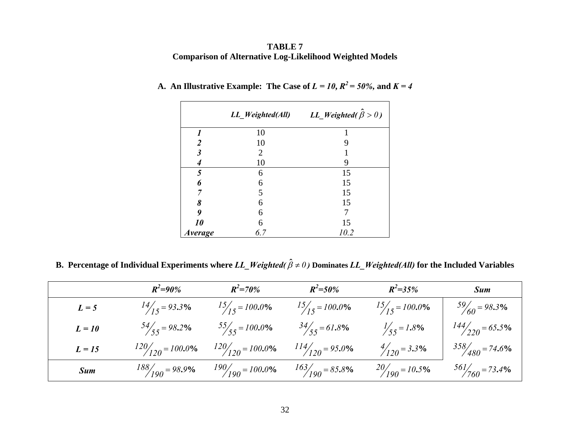## **TABLE 7 Comparison of Alternative Log-Likelihood Weighted Models**

|                       | LL_Weighted(All) | LL_Weighted( $\hat{\beta} > 0$ ) |
|-----------------------|------------------|----------------------------------|
|                       | 10               |                                  |
| $\overline{2}$        | 10               | 9                                |
| $\mathfrak{Z}$        | 2                |                                  |
|                       | 10               | 9                                |
| 5                     | 6                | 15                               |
| 6                     | 6                | 15                               |
|                       | 5                | 15                               |
| 8                     | 6                | 15                               |
| 9                     | 6                |                                  |
| 10                    | 6                | 15                               |
| <i><b>Average</b></i> | 6.7              | 10.2                             |

# A. An Illustrative Example: The Case of  $L = 10$ ,  $R^2 = 50\%$ , and  $K = 4$

B. Percentage of Individual Experiments where *LL\_Weighted(*  $\hat{\beta} \neq 0$  *)* Dominates *LL\_Weighted(All)* for the Included Variables

|          | $R^2 = 90\%$        | $R^2 = 70\%$        | $R^2 = 50\%$               | $R^2 = 35%$              | <b>Sum</b>                |
|----------|---------------------|---------------------|----------------------------|--------------------------|---------------------------|
| $L = 5$  | $14/15 = 93.3\%$    | $15/15 = 100.0\%$   | $15/15 = 100.0\%$          | $15/15 = 100.0\%$        | $\frac{59}{60}$ = 98.3%   |
| $L = 10$ | $54/55 = 98.2\%$    | $55/55 = 100.0\%$   | $\frac{34}{55} = 61.8\%$   | $\frac{1}{55} = 1.8\%$   | $\frac{144}{220}$ = 65.5% |
| $L = 15$ | $120/120 = 100.0\%$ | $120/120 = 100.0\%$ | $\frac{114}{120}$ = 95.0%  | $\frac{4}{120}$ = 3.3%   | $358/480 = 74.6\%$        |
| Sum      | $188/190 = 98.9\%$  | $190/190 = 100.0\%$ | $\frac{163}{190} = 85.8\%$ | $\frac{20}{190}$ = 10.5% | $\frac{561}{760}$ = 73.4% |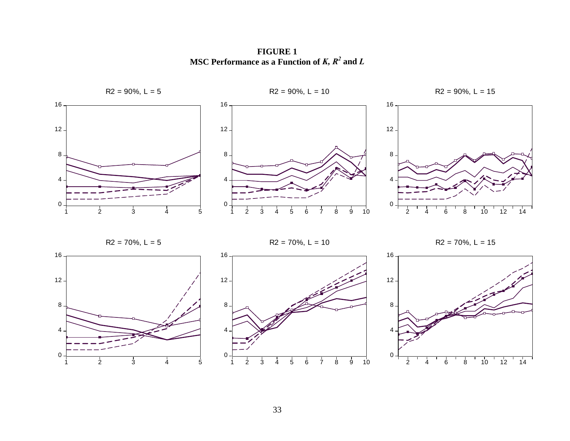**FIGURE 1 MSC Performance as a Function of** *K, R<sup>2</sup>* **and** *<sup>L</sup>*